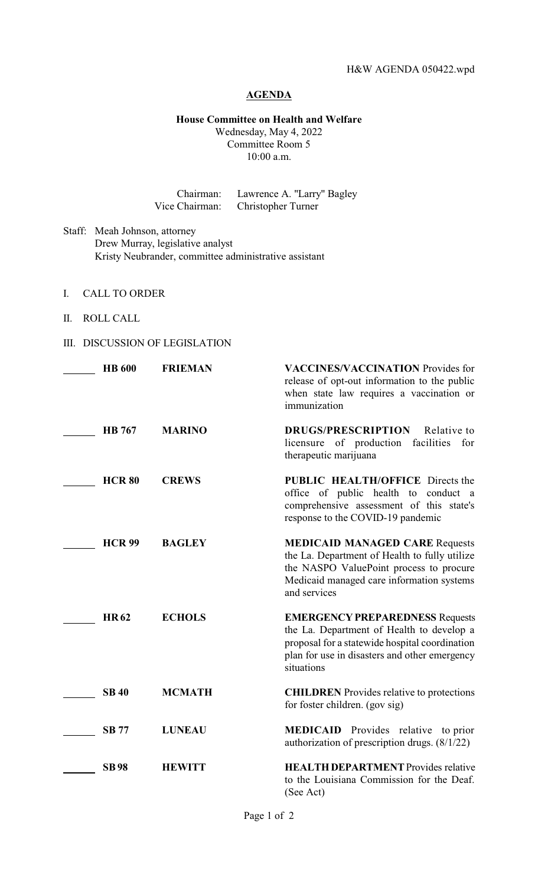### **AGENDA**

## **House Committee on Health and Welfare**

Wednesday, May 4, 2022 Committee Room 5 10:00 a.m.

Chairman: Lawrence A. "Larry" Bagley Vice Chairman: Christopher Turner

- Staff: Meah Johnson, attorney Drew Murray, legislative analyst Kristy Neubrander, committee administrative assistant
- I. CALL TO ORDER
- II. ROLL CALL

# III. DISCUSSION OF LEGISLATION

| <b>HB</b> 600 | <b>FRIEMAN</b> | <b>VACCINES/VACCINATION</b> Provides for<br>release of opt-out information to the public<br>when state law requires a vaccination or<br>immunization                                                 |
|---------------|----------------|------------------------------------------------------------------------------------------------------------------------------------------------------------------------------------------------------|
| <b>HB</b> 767 | <b>MARINO</b>  | <b>DRUGS/PRESCRIPTION</b><br>Relative to<br>licensure of production<br>facilities<br>for<br>therapeutic marijuana                                                                                    |
| <b>HCR 80</b> | <b>CREWS</b>   | <b>PUBLIC HEALTH/OFFICE Directs the</b><br>office of public health to conduct a<br>comprehensive assessment of this state's<br>response to the COVID-19 pandemic                                     |
| <b>HCR 99</b> | <b>BAGLEY</b>  | <b>MEDICAID MANAGED CARE Requests</b><br>the La. Department of Health to fully utilize<br>the NASPO ValuePoint process to procure<br>Medicaid managed care information systems<br>and services       |
| <b>HR62</b>   | <b>ECHOLS</b>  | <b>EMERGENCY PREPAREDNESS Requests</b><br>the La. Department of Health to develop a<br>proposal for a statewide hospital coordination<br>plan for use in disasters and other emergency<br>situations |
| <b>SB 40</b>  | <b>MCMATH</b>  | <b>CHILDREN</b> Provides relative to protections<br>for foster children. (gov sig)                                                                                                                   |
| <b>SB 77</b>  | <b>LUNEAU</b>  | <b>MEDICAID</b> Provides relative to prior<br>authorization of prescription drugs. $(8/1/22)$                                                                                                        |
| <b>SB98</b>   | <b>HEWITT</b>  | <b>HEALTH DEPARTMENT</b> Provides relative<br>to the Louisiana Commission for the Deaf.<br>(See Act)                                                                                                 |